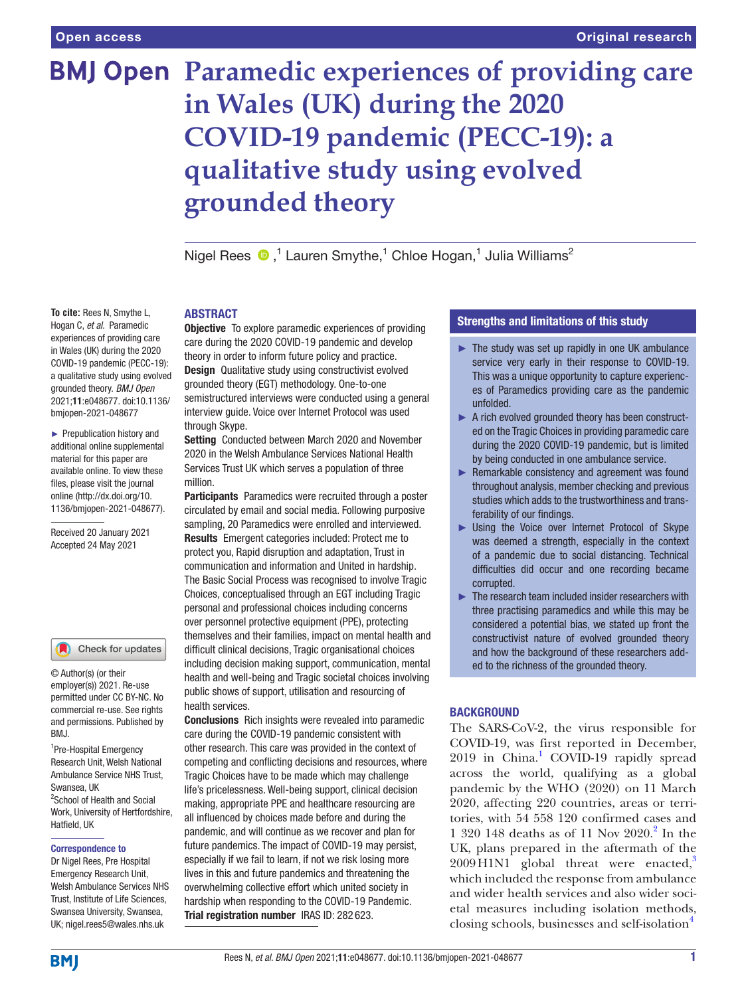# **BMJ Open Paramedic experiences of providing care in Wales (UK) during the 2020 COVID-19 pandemic (PECC-19): a qualitative study using evolved grounded theory**

Nigel Rees  $\bigcirc$ ,<sup>1</sup> Lauren Smythe,<sup>1</sup> Chloe Hogan,<sup>1</sup> Julia Williams<sup>2</sup>

# **ARSTRACT**

**Objective** To explore paramedic experiences of providing care during the 2020 COVID-19 pandemic and develop theory in order to inform future policy and practice. Design Qualitative study using constructivist evolved grounded theory (EGT) methodology. One-to-one semistructured interviews were conducted using a general interview guide. Voice over Internet Protocol was used through Skype.

Setting Conducted between March 2020 and November 2020 in the Welsh Ambulance Services National Health Services Trust UK which serves a population of three million.

Participants Paramedics were recruited through a poster circulated by email and social media. Following purposive sampling, 20 Paramedics were enrolled and interviewed. Results Emergent categories included: Protect me to protect you, Rapid disruption and adaptation, Trust in communication and information and United in hardship. The Basic Social Process was recognised to involve Tragic Choices*,* conceptualised through an EGT including Tragic personal and professional choices including concerns over personnel protective equipment (PPE), protecting themselves and their families, impact on mental health and difficult clinical decisions, Tragic organisational choices including decision making support, communication, mental health and well-being and Tragic societal choices involving public shows of support, utilisation and resourcing of health services.

Conclusions Rich insights were revealed into paramedic care during the COVID-19 pandemic consistent with other research. This care was provided in the context of competing and conflicting decisions and resources, where Tragic Choices have to be made which may challenge life's pricelessness. Well-being support, clinical decision making, appropriate PPE and healthcare resourcing are all influenced by choices made before and during the pandemic, and will continue as we recover and plan for future pandemics. The impact of COVID-19 may persist, especially if we fail to learn, if not we risk losing more lives in this and future pandemics and threatening the overwhelming collective effort which united society in hardship when responding to the COVID-19 Pandemic. Trial registration number IRAS ID: 282 623.

# Strengths and limitations of this study

- $\blacktriangleright$  The study was set up rapidly in one UK ambulance service very early in their response to COVID-19. This was a unique opportunity to capture experiences of Paramedics providing care as the pandemic unfolded.
- ► A rich evolved grounded theory has been constructed on the Tragic Choices in providing paramedic care during the 2020 COVID-19 pandemic, but is limited by being conducted in one ambulance service.
- ► Remarkable consistency and agreement was found throughout analysis, member checking and previous studies which adds to the trustworthiness and transferability of our findings.
- ► Using the Voice over Internet Protocol of Skype was deemed a strength, especially in the context of a pandemic due to social distancing. Technical difficulties did occur and one recording became corrupted.
- ► The research team included insider researchers with three practising paramedics and while this may be considered a potential bias, we stated up front the constructivist nature of evolved grounded theory and how the background of these researchers added to the richness of the grounded theory.

# BACKGROUND

The SARS-CoV-2, the virus responsible for COVID-19, was first reported in December, 20[1](#page-12-0)9 in China.<sup>1</sup> COVID-19 rapidly spread across the world, qualifying as a global pandemic by the WHO (2020) on 11 March 2020, affecting 220 countries, areas or territories, with 54 558 120 confirmed cases and 1 320 148 deaths as of 11 Nov 2020.<sup>2</sup> In the UK, plans prepared in the aftermath of the  $2009$  H1N1 global threat were enacted,<sup>[3](#page-12-2)</sup> which included the response from ambulance and wider health services and also wider societal measures including isolation methods, closing schools, businesses and self-isolation<sup>[4](#page-12-3)</sup>

**To cite:** Rees N, Smythe L, Hogan C, *et al*. Paramedic experiences of providing care in Wales (UK) during the 2020 COVID-19 pandemic (PECC-19): a qualitative study using evolved grounded theory. *BMJ Open* 2021;11:e048677. doi:10.1136/ bmjopen-2021-048677

► Prepublication history and additional online supplemental material for this paper are available online. To view these files, please visit the journal online (http://dx.doi.org/10. 1136/bmjopen-2021-048677).

Received 20 January 2021 Accepted 24 May 2021

Check for updates

© Author(s) (or their employer(s)) 2021. Re-use permitted under CC BY-NC. No commercial re-use. See rights and permissions. Published by BMJ.

<sup>1</sup>Pre-Hospital Emergency Research Unit, Welsh National Ambulance Service NHS Trust, Swansea, UK <sup>2</sup> School of Health and Social Work, University of Hertfordshire, Hatfield, UK

#### Correspondence to

Dr Nigel Rees, Pre Hospital Emergency Research Unit, Welsh Ambulance Services NHS Trust, Institute of Life Sciences, Swansea University, Swansea, UK; nigel.rees5@wales.nhs.uk

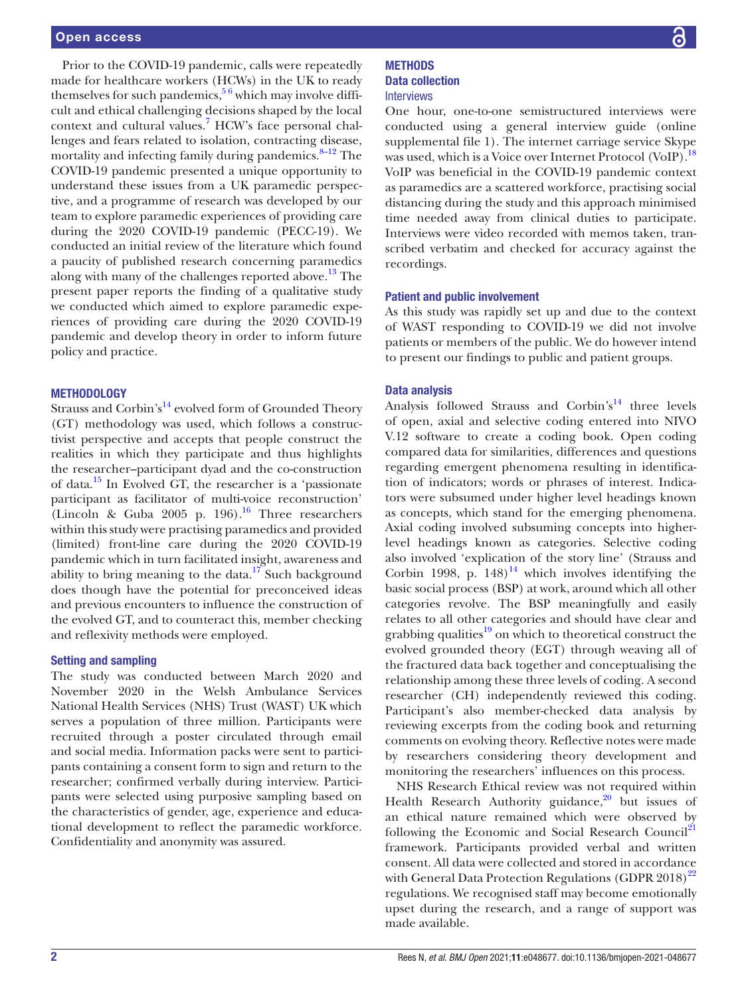Prior to the COVID-19 pandemic, calls were repeatedly made for healthcare workers (HCWs) in the UK to ready themselves for such pandemics,  $5<sup>6</sup>$  which may involve difficult and ethical challenging decisions shaped by the local context and cultural values.<sup>[7](#page-12-5)</sup> HCW's face personal challenges and fears related to isolation, contracting disease, mortality and infecting family during pandemics. $8-12$  The COVID-19 pandemic presented a unique opportunity to understand these issues from a UK paramedic perspective, and a programme of research was developed by our team to explore paramedic experiences of providing care during the 2020 COVID-19 pandemic (PECC-19). We conducted an initial review of the literature which found a paucity of published research concerning paramedics along with many of the challenges reported above.<sup>13</sup> The present paper reports the finding of a qualitative study we conducted which aimed to explore paramedic experiences of providing care during the 2020 COVID-19 pandemic and develop theory in order to inform future policy and practice.

#### **METHODOLOGY**

Strauss and Corbin's<sup>[14](#page-12-8)</sup> evolved form of Grounded Theory (GT) methodology was used, which follows a constructivist perspective and accepts that people construct the realities in which they participate and thus highlights the researcher–participant dyad and the co-construction of data[.15](#page-12-9) In Evolved GT, the researcher is a 'passionate participant as facilitator of multi-voice reconstruction' (Lincoln & Guba  $2005$  p. 196).<sup>16</sup> Three researchers within this study were practising paramedics and provided (limited) front-line care during the 2020 COVID-19 pandemic which in turn facilitated insight, awareness and ability to bring meaning to the data.<sup>17</sup> Such background does though have the potential for preconceived ideas and previous encounters to influence the construction of the evolved GT, and to counteract this, member checking and reflexivity methods were employed.

#### Setting and sampling

The study was conducted between March 2020 and November 2020 in the Welsh Ambulance Services National Health Services (NHS) Trust (WAST) UK which serves a population of three million. Participants were recruited through a poster circulated through email and social media. Information packs were sent to participants containing a consent form to sign and return to the researcher; confirmed verbally during interview. Participants were selected using purposive sampling based on the characteristics of gender, age, experience and educational development to reflect the paramedic workforce. Confidentiality and anonymity was assured.

# **METHODS** Data collection

#### **Interviews**

One hour, one-to-one semistructured interviews were conducted using a general interview guide ([online](https://dx.doi.org/10.1136/bmjopen-2021-048677)  [supplemental file 1\)](https://dx.doi.org/10.1136/bmjopen-2021-048677). The internet carriage service Skype was used, which is a Voice over Internet Protocol (VoIP).<sup>[18](#page-12-12)</sup> VoIP was beneficial in the COVID-19 pandemic context as paramedics are a scattered workforce, practising social distancing during the study and this approach minimised time needed away from clinical duties to participate. Interviews were video recorded with memos taken, transcribed verbatim and checked for accuracy against the recordings.

#### Patient and public involvement

As this study was rapidly set up and due to the context of WAST responding to COVID-19 we did not involve patients or members of the public. We do however intend to present our findings to public and patient groups.

#### Data analysis

Analysis followed Strauss and Corbin's<sup>14</sup> three levels of open, axial and selective coding entered into NIVO V.12 software to create a coding book. Open coding compared data for similarities, differences and questions regarding emergent phenomena resulting in identification of indicators; words or phrases of interest. Indicators were subsumed under higher level headings known as concepts, which stand for the emerging phenomena. Axial coding involved subsuming concepts into higherlevel headings known as categories. Selective coding also involved 'explication of the story line' (Strauss and Corbin 1998, p.  $148$  $148$ <sup>14</sup> which involves identifying the basic social process (BSP) at work, around which all other categories revolve. The BSP meaningfully and easily relates to all other categories and should have clear and grabbing qualities<sup>19</sup> on which to theoretical construct the evolved grounded theory (EGT) through weaving all of the fractured data back together and conceptualising the relationship among these three levels of coding. A second researcher (CH) independently reviewed this coding. Participant's also member-checked data analysis by reviewing excerpts from the coding book and returning comments on evolving theory. Reflective notes were made by researchers considering theory development and monitoring the researchers' influences on this process.

NHS Research Ethical review was not required within Health Research Authority guidance, $20$  but issues of an ethical nature remained which were observed by following the Economic and Social Research Council<sup>[21](#page-12-15)</sup> framework. Participants provided verbal and written consent. All data were collected and stored in accordance with General Data Protection Regulations (GDPR  $2018)^{22}$  $2018)^{22}$  $2018)^{22}$ regulations. We recognised staff may become emotionally upset during the research, and a range of support was made available.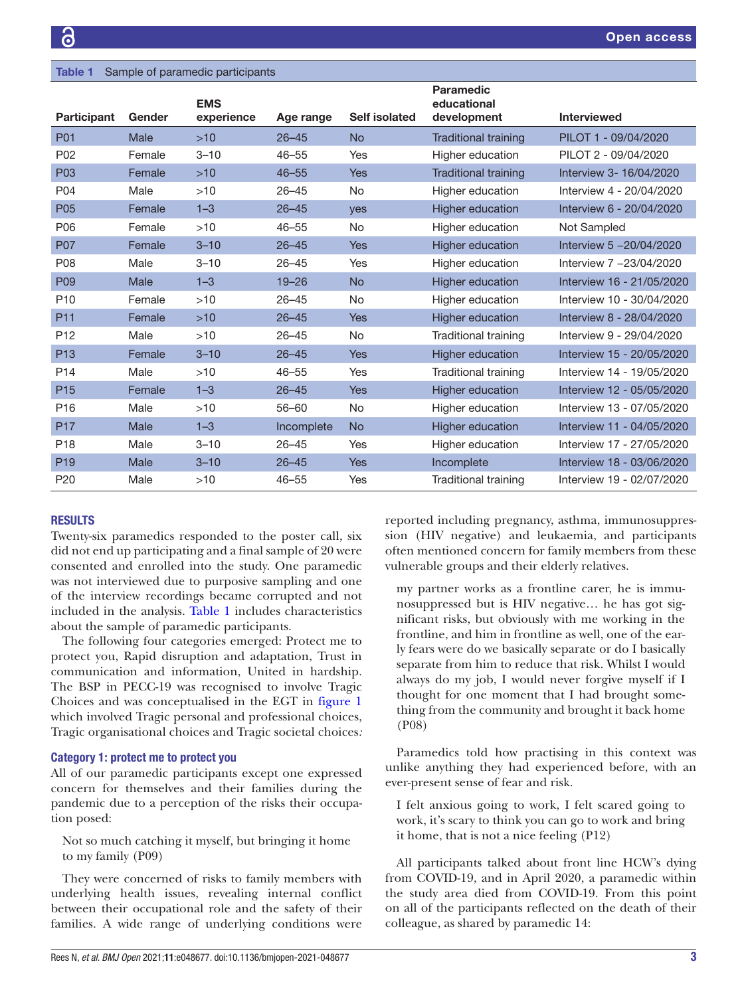<span id="page-2-0"></span>

| <b>Table 1</b><br>Sample of paramedic participants |        |                          |            |               |                                                |                           |
|----------------------------------------------------|--------|--------------------------|------------|---------------|------------------------------------------------|---------------------------|
| <b>Participant</b>                                 | Gender | <b>EMS</b><br>experience | Age range  | Self isolated | <b>Paramedic</b><br>educational<br>development | <b>Interviewed</b>        |
| <b>P01</b>                                         | Male   | $>10$                    | $26 - 45$  | <b>No</b>     | <b>Traditional training</b>                    | PILOT 1 - 09/04/2020      |
| P <sub>02</sub>                                    | Female | $3 - 10$                 | $46 - 55$  | Yes           | Higher education                               | PILOT 2 - 09/04/2020      |
| <b>P03</b>                                         | Female | $>10$                    | $46 - 55$  | Yes           | <b>Traditional training</b>                    | Interview 3-16/04/2020    |
| P04                                                | Male   | >10                      | $26 - 45$  | <b>No</b>     | Higher education                               | Interview 4 - 20/04/2020  |
| P <sub>05</sub>                                    | Female | $1 - 3$                  | $26 - 45$  | <b>ves</b>    | <b>Higher education</b>                        | Interview 6 - 20/04/2020  |
| P06                                                | Female | >10                      | $46 - 55$  | No            | Higher education                               | Not Sampled               |
| <b>P07</b>                                         | Female | $3 - 10$                 | $26 - 45$  | <b>Yes</b>    | Higher education                               | Interview 5 -20/04/2020   |
| P <sub>08</sub>                                    | Male   | $3 - 10$                 | $26 - 45$  | Yes           | Higher education                               | Interview 7 -23/04/2020   |
| P <sub>09</sub>                                    | Male   | $1 - 3$                  | $19 - 26$  | <b>No</b>     | Higher education                               | Interview 16 - 21/05/2020 |
| P <sub>10</sub>                                    | Female | >10                      | $26 - 45$  | No            | Higher education                               | Interview 10 - 30/04/2020 |
| P <sub>11</sub>                                    | Female | $>10$                    | $26 - 45$  | <b>Yes</b>    | Higher education                               | Interview 8 - 28/04/2020  |
| P <sub>12</sub>                                    | Male   | $>10$                    | $26 - 45$  | <b>No</b>     | Traditional training                           | Interview 9 - 29/04/2020  |
| P <sub>13</sub>                                    | Female | $3 - 10$                 | $26 - 45$  | Yes           | <b>Higher education</b>                        | Interview 15 - 20/05/2020 |
| P <sub>14</sub>                                    | Male   | >10                      | $46 - 55$  | Yes           | <b>Traditional training</b>                    | Interview 14 - 19/05/2020 |
| P <sub>15</sub>                                    | Female | $1 - 3$                  | $26 - 45$  | <b>Yes</b>    | <b>Higher education</b>                        | Interview 12 - 05/05/2020 |
| P <sub>16</sub>                                    | Male   | >10                      | $56 - 60$  | <b>No</b>     | Higher education                               | Interview 13 - 07/05/2020 |
| <b>P17</b>                                         | Male   | $1 - 3$                  | Incomplete | <b>No</b>     | <b>Higher education</b>                        | Interview 11 - 04/05/2020 |
| P <sub>18</sub>                                    | Male   | $3 - 10$                 | $26 - 45$  | Yes           | Higher education                               | Interview 17 - 27/05/2020 |
| P <sub>19</sub>                                    | Male   | $3 - 10$                 | $26 - 45$  | <b>Yes</b>    | Incomplete                                     | Interview 18 - 03/06/2020 |
| P <sub>20</sub>                                    | Male   | >10                      | $46 - 55$  | Yes           | <b>Traditional training</b>                    | Interview 19 - 02/07/2020 |

# RESULTS

Twenty-six paramedics responded to the poster call, six did not end up participating and a final sample of 20 were consented and enrolled into the study. One paramedic was not interviewed due to purposive sampling and one of the interview recordings became corrupted and not included in the analysis. [Table](#page-2-0) 1 includes characteristics about the sample of paramedic participants.

The following four categories emerged: Protect me to protect you, Rapid disruption and adaptation, Trust in communication and information, United in hardship. The BSP in PECC-19 was recognised to involve Tragic Choices and was conceptualised in the EGT in [figure](#page-3-0) 1 which involved Tragic personal and professional choices, Tragic organisational choices and Tragic societal choices*:*

# Category 1: protect me to protect you

All of our paramedic participants except one expressed concern for themselves and their families during the pandemic due to a perception of the risks their occupation posed:

Not so much catching it myself, but bringing it home to my family (P09)

They were concerned of risks to family members with underlying health issues, revealing internal conflict between their occupational role and the safety of their families. A wide range of underlying conditions were

reported including pregnancy, asthma, immunosuppression (HIV negative) and leukaemia, and participants often mentioned concern for family members from these vulnerable groups and their elderly relatives.

my partner works as a frontline carer, he is immunosuppressed but is HIV negative… he has got significant risks, but obviously with me working in the frontline, and him in frontline as well, one of the early fears were do we basically separate or do I basically separate from him to reduce that risk. Whilst I would always do my job, I would never forgive myself if I thought for one moment that I had brought something from the community and brought it back home (P08)

Paramedics told how practising in this context was unlike anything they had experienced before, with an ever-present sense of fear and risk.

I felt anxious going to work, I felt scared going to work, it's scary to think you can go to work and bring it home, that is not a nice feeling (P12)

All participants talked about front line HCW's dying from COVID-19, and in April 2020, a paramedic within the study area died from COVID-19. From this point on all of the participants reflected on the death of their colleague, as shared by paramedic 14: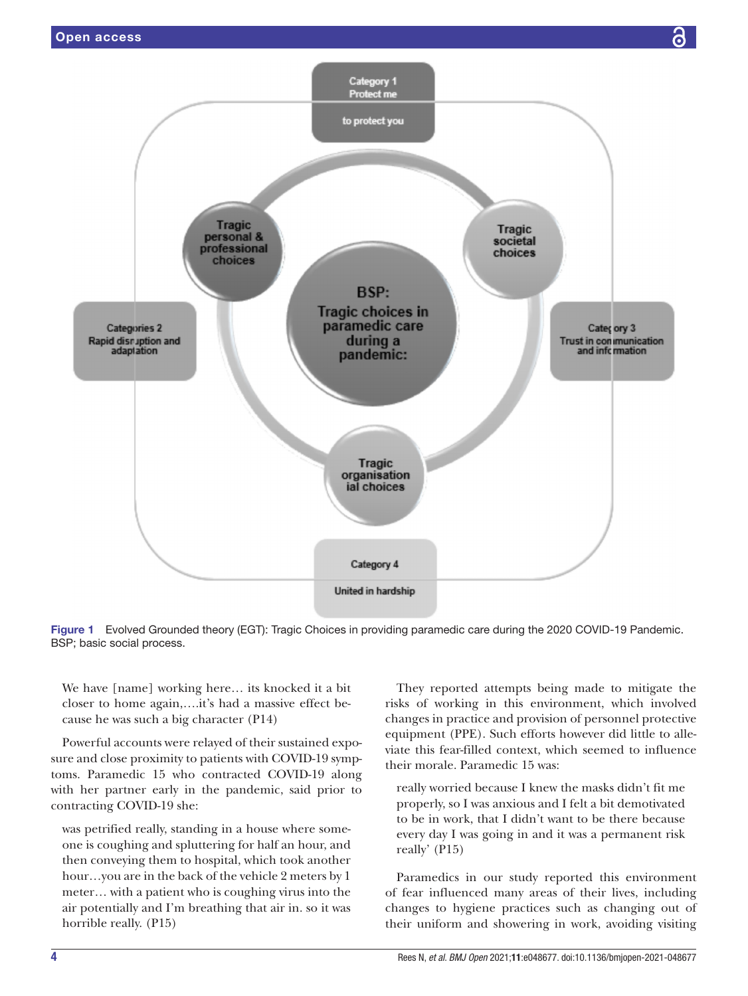

<span id="page-3-0"></span>

We have [name] working here… its knocked it a bit closer to home again,….it's had a massive effect because he was such a big character (P14)

Powerful accounts were relayed of their sustained exposure and close proximity to patients with COVID-19 symptoms. Paramedic 15 who contracted COVID-19 along with her partner early in the pandemic, said prior to contracting COVID-19 she:

was petrified really, standing in a house where someone is coughing and spluttering for half an hour, and then conveying them to hospital, which took another hour…you are in the back of the vehicle 2 meters by 1 meter… with a patient who is coughing virus into the air potentially and I'm breathing that air in. so it was horrible really. (P15)

They reported attempts being made to mitigate the risks of working in this environment, which involved changes in practice and provision of personnel protective equipment (PPE). Such efforts however did little to alleviate this fear-filled context, which seemed to influence their morale. Paramedic 15 was:

really worried because I knew the masks didn't fit me properly, so I was anxious and I felt a bit demotivated to be in work, that I didn't want to be there because every day I was going in and it was a permanent risk really' (P15)

Paramedics in our study reported this environment of fear influenced many areas of their lives, including changes to hygiene practices such as changing out of their uniform and showering in work, avoiding visiting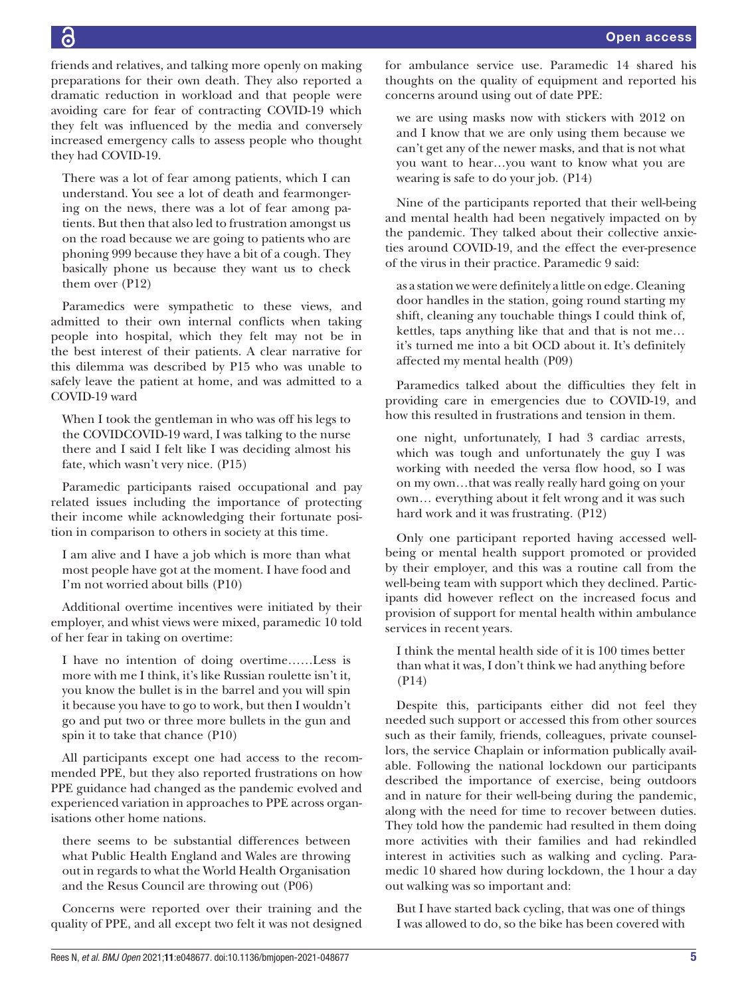6

friends and relatives, and talking more openly on making preparations for their own death. They also reported a dramatic reduction in workload and that people were avoiding care for fear of contracting COVID-19 which they felt was influenced by the media and conversely increased emergency calls to assess people who thought they had COVID-19.

There was a lot of fear among patients, which I can understand. You see a lot of death and fearmongering on the news, there was a lot of fear among patients. But then that also led to frustration amongst us on the road because we are going to patients who are phoning 999 because they have a bit of a cough. They basically phone us because they want us to check them over (P12)

Paramedics were sympathetic to these views, and admitted to their own internal conflicts when taking people into hospital, which they felt may not be in the best interest of their patients. A clear narrative for this dilemma was described by P15 who was unable to safely leave the patient at home, and was admitted to a COVID-19 ward

When I took the gentleman in who was off his legs to the COVIDCOVID-19 ward, I was talking to the nurse there and I said I felt like I was deciding almost his fate, which wasn't very nice. (P15)

Paramedic participants raised occupational and pay related issues including the importance of protecting their income while acknowledging their fortunate position in comparison to others in society at this time.

I am alive and I have a job which is more than what most people have got at the moment. I have food and I'm not worried about bills (P10)

Additional overtime incentives were initiated by their employer, and whist views were mixed, paramedic 10 told of her fear in taking on overtime:

I have no intention of doing overtime……Less is more with me I think, it's like Russian roulette isn't it, you know the bullet is in the barrel and you will spin it because you have to go to work, but then I wouldn't go and put two or three more bullets in the gun and spin it to take that chance (P10)

All participants except one had access to the recommended PPE, but they also reported frustrations on how PPE guidance had changed as the pandemic evolved and experienced variation in approaches to PPE across organisations other home nations.

there seems to be substantial differences between what Public Health England and Wales are throwing out in regards to what the World Health Organisation and the Resus Council are throwing out (P06)

Concerns were reported over their training and the quality of PPE, and all except two felt it was not designed for ambulance service use. Paramedic 14 shared his thoughts on the quality of equipment and reported his concerns around using out of date PPE:

we are using masks now with stickers with 2012 on and I know that we are only using them because we can't get any of the newer masks, and that is not what you want to hear…you want to know what you are wearing is safe to do your job. (P14)

Nine of the participants reported that their well-being and mental health had been negatively impacted on by the pandemic. They talked about their collective anxieties around COVID-19, and the effect the ever-presence of the virus in their practice. Paramedic 9 said:

as a station we were definitely a little on edge. Cleaning door handles in the station, going round starting my shift, cleaning any touchable things I could think of, kettles, taps anything like that and that is not me… it's turned me into a bit OCD about it. It's definitely affected my mental health (P09)

Paramedics talked about the difficulties they felt in providing care in emergencies due to COVID-19, and how this resulted in frustrations and tension in them.

one night, unfortunately, I had 3 cardiac arrests, which was tough and unfortunately the guy I was working with needed the versa flow hood, so I was on my own…that was really really hard going on your own… everything about it felt wrong and it was such hard work and it was frustrating. (P12)

Only one participant reported having accessed wellbeing or mental health support promoted or provided by their employer, and this was a routine call from the well-being team with support which they declined. Participants did however reflect on the increased focus and provision of support for mental health within ambulance services in recent years.

I think the mental health side of it is 100 times better than what it was, I don't think we had anything before (P14)

Despite this, participants either did not feel they needed such support or accessed this from other sources such as their family, friends, colleagues, private counsellors, the service Chaplain or information publically available. Following the national lockdown our participants described the importance of exercise, being outdoors and in nature for their well-being during the pandemic, along with the need for time to recover between duties. They told how the pandemic had resulted in them doing more activities with their families and had rekindled interest in activities such as walking and cycling. Paramedic 10 shared how during lockdown, the 1hour a day out walking was so important and:

But I have started back cycling, that was one of things I was allowed to do, so the bike has been covered with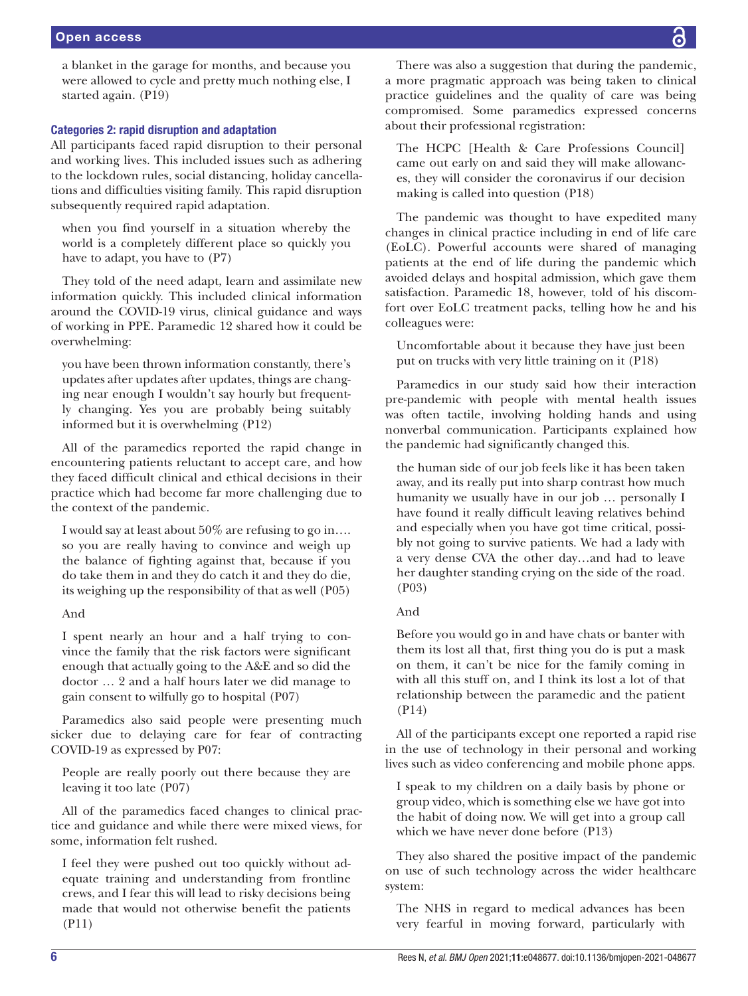a blanket in the garage for months, and because you were allowed to cycle and pretty much nothing else, I started again. (P19)

# Categories 2: rapid disruption and adaptation

All participants faced rapid disruption to their personal and working lives. This included issues such as adhering to the lockdown rules, social distancing, holiday cancellations and difficulties visiting family. This rapid disruption subsequently required rapid adaptation.

when you find yourself in a situation whereby the world is a completely different place so quickly you have to adapt, you have to (P7)

They told of the need adapt, learn and assimilate new information quickly. This included clinical information around the COVID-19 virus, clinical guidance and ways of working in PPE. Paramedic 12 shared how it could be overwhelming:

you have been thrown information constantly, there's updates after updates after updates, things are changing near enough I wouldn't say hourly but frequently changing. Yes you are probably being suitably informed but it is overwhelming (P12)

All of the paramedics reported the rapid change in encountering patients reluctant to accept care, and how they faced difficult clinical and ethical decisions in their practice which had become far more challenging due to the context of the pandemic.

I would say at least about 50% are refusing to go in…. so you are really having to convince and weigh up the balance of fighting against that, because if you do take them in and they do catch it and they do die, its weighing up the responsibility of that as well (P05)

#### And

I spent nearly an hour and a half trying to convince the family that the risk factors were significant enough that actually going to the A&E and so did the doctor … 2 and a half hours later we did manage to gain consent to wilfully go to hospital (P07)

Paramedics also said people were presenting much sicker due to delaying care for fear of contracting COVID-19 as expressed by P07:

People are really poorly out there because they are leaving it too late (P07)

All of the paramedics faced changes to clinical practice and guidance and while there were mixed views, for some, information felt rushed.

I feel they were pushed out too quickly without adequate training and understanding from frontline crews, and I fear this will lead to risky decisions being made that would not otherwise benefit the patients (P11)

There was also a suggestion that during the pandemic, a more pragmatic approach was being taken to clinical practice guidelines and the quality of care was being compromised. Some paramedics expressed concerns about their professional registration:

The HCPC [Health & Care Professions Council] came out early on and said they will make allowances, they will consider the coronavirus if our decision making is called into question (P18)

The pandemic was thought to have expedited many changes in clinical practice including in end of life care (EoLC). Powerful accounts were shared of managing patients at the end of life during the pandemic which avoided delays and hospital admission, which gave them satisfaction. Paramedic 18, however, told of his discomfort over EoLC treatment packs, telling how he and his colleagues were:

Uncomfortable about it because they have just been put on trucks with very little training on it (P18)

Paramedics in our study said how their interaction pre-pandemic with people with mental health issues was often tactile, involving holding hands and using nonverbal communication. Participants explained how the pandemic had significantly changed this.

the human side of our job feels like it has been taken away, and its really put into sharp contrast how much humanity we usually have in our job … personally I have found it really difficult leaving relatives behind and especially when you have got time critical, possibly not going to survive patients. We had a lady with a very dense CVA the other day…and had to leave her daughter standing crying on the side of the road*.* (P03)

# And

Before you would go in and have chats or banter with them its lost all that, first thing you do is put a mask on them, it can't be nice for the family coming in with all this stuff on, and I think its lost a lot of that relationship between the paramedic and the patient (P14)

All of the participants except one reported a rapid rise in the use of technology in their personal and working lives such as video conferencing and mobile phone apps.

I speak to my children on a daily basis by phone or group video, which is something else we have got into the habit of doing now. We will get into a group call which we have never done before (P13)

They also shared the positive impact of the pandemic on use of such technology across the wider healthcare system:

The NHS in regard to medical advances has been very fearful in moving forward, particularly with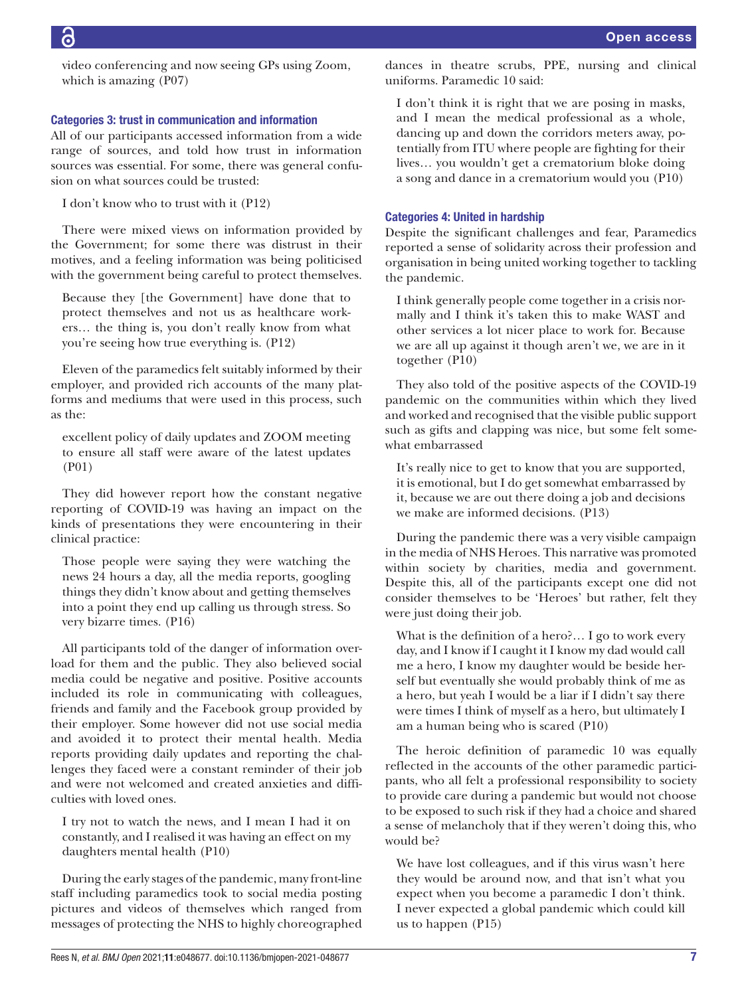video conferencing and now seeing GPs using Zoom, which is amazing (P07)

# Categories 3: trust in communication and information

All of our participants accessed information from a wide range of sources, and told how trust in information sources was essential. For some, there was general confusion on what sources could be trusted:

I don't know who to trust with it (P12)

There were mixed views on information provided by the Government; for some there was distrust in their motives, and a feeling information was being politicised with the government being careful to protect themselves.

Because they [the Government] have done that to protect themselves and not us as healthcare workers… the thing is, you don't really know from what you're seeing how true everything is. (P12)

Eleven of the paramedics felt suitably informed by their employer, and provided rich accounts of the many platforms and mediums that were used in this process, such as the:

excellent policy of daily updates and ZOOM meeting to ensure all staff were aware of the latest updates (P01)

They did however report how the constant negative reporting of COVID-19 was having an impact on the kinds of presentations they were encountering in their clinical practice:

Those people were saying they were watching the news 24 hours a day, all the media reports, googling things they didn't know about and getting themselves into a point they end up calling us through stress. So very bizarre times. (P16)

All participants told of the danger of information overload for them and the public. They also believed social media could be negative and positive. Positive accounts included its role in communicating with colleagues, friends and family and the Facebook group provided by their employer. Some however did not use social media and avoided it to protect their mental health. Media reports providing daily updates and reporting the challenges they faced were a constant reminder of their job and were not welcomed and created anxieties and difficulties with loved ones.

I try not to watch the news, and I mean I had it on constantly, and I realised it was having an effect on my daughters mental health (P10)

During the early stages of the pandemic, many front-line staff including paramedics took to social media posting pictures and videos of themselves which ranged from messages of protecting the NHS to highly choreographed dances in theatre scrubs, PPE, nursing and clinical uniforms. Paramedic 10 said:

I don't think it is right that we are posing in masks, and I mean the medical professional as a whole, dancing up and down the corridors meters away, potentially from ITU where people are fighting for their lives… you wouldn't get a crematorium bloke doing a song and dance in a crematorium would you (P10)

#### Categories 4: United in hardship

Despite the significant challenges and fear, Paramedics reported a sense of solidarity across their profession and organisation in being united working together to tackling the pandemic.

I think generally people come together in a crisis normally and I think it's taken this to make WAST and other services a lot nicer place to work for. Because we are all up against it though aren't we, we are in it together (P10)

They also told of the positive aspects of the COVID-19 pandemic on the communities within which they lived and worked and recognised that the visible public support such as gifts and clapping was nice, but some felt somewhat embarrassed

It's really nice to get to know that you are supported, it is emotional, but I do get somewhat embarrassed by it, because we are out there doing a job and decisions we make are informed decisions. (P13)

During the pandemic there was a very visible campaign in the media of NHS Heroes. This narrative was promoted within society by charities, media and government. Despite this, all of the participants except one did not consider themselves to be 'Heroes' but rather, felt they were just doing their job.

What is the definition of a hero?… I go to work every day, and I know if I caught it I know my dad would call me a hero, I know my daughter would be beside herself but eventually she would probably think of me as a hero, but yeah I would be a liar if I didn't say there were times I think of myself as a hero, but ultimately I am a human being who is scared (P10)

The heroic definition of paramedic 10 was equally reflected in the accounts of the other paramedic participants, who all felt a professional responsibility to society to provide care during a pandemic but would not choose to be exposed to such risk if they had a choice and shared a sense of melancholy that if they weren't doing this, who would be?

We have lost colleagues, and if this virus wasn't here they would be around now, and that isn't what you expect when you become a paramedic I don't think. I never expected a global pandemic which could kill us to happen (P15)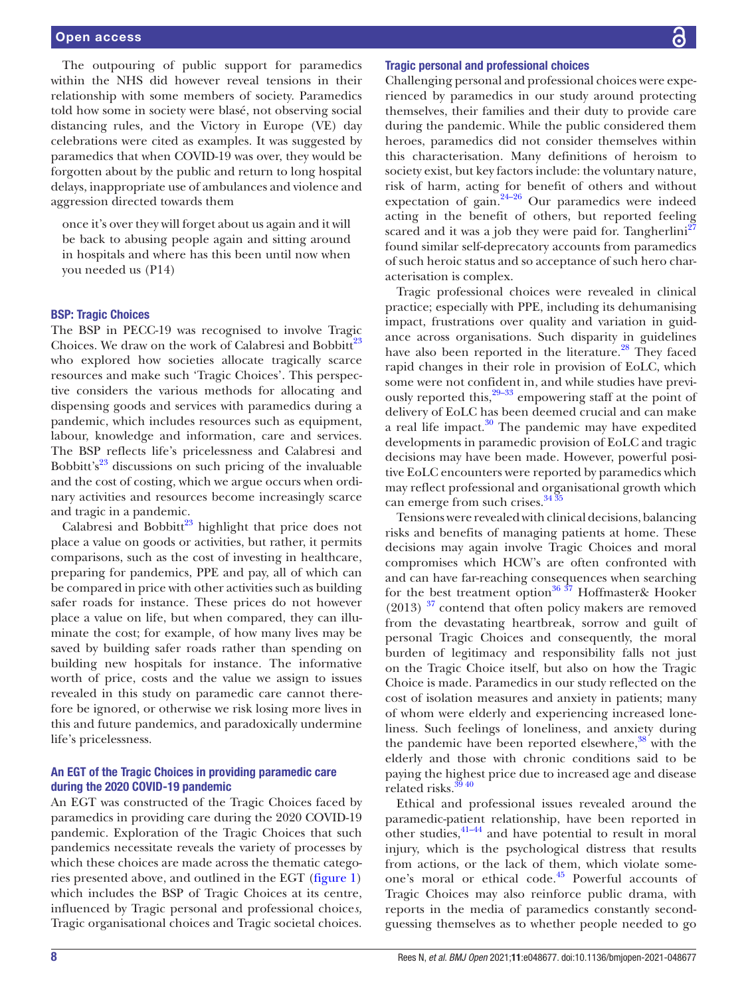The outpouring of public support for paramedics within the NHS did however reveal tensions in their relationship with some members of society. Paramedics told how some in society were blasé, not observing social distancing rules, and the Victory in Europe (VE) day celebrations were cited as examples. It was suggested by paramedics that when COVID-19 was over, they would be forgotten about by the public and return to long hospital delays, inappropriate use of ambulances and violence and aggression directed towards them

once it's over they will forget about us again and it will be back to abusing people again and sitting around in hospitals and where has this been until now when you needed us (P14)

#### BSP: Tragic Choices

The BSP in PECC-19 was recognised to involve Tragic Choices. We draw on the work of Calabresi and Bobbitt<sup>[23](#page-12-17)</sup> who explored how societies allocate tragically scarce resources and make such 'Tragic Choices'. This perspective considers the various methods for allocating and dispensing goods and services with paramedics during a pandemic, which includes resources such as equipment, labour, knowledge and information, care and services. The BSP reflects life's pricelessness and Calabresi and Bobbitt's $23$  discussions on such pricing of the invaluable and the cost of costing, which we argue occurs when ordinary activities and resources become increasingly scarce and tragic in a pandemic.

Calabresi and Bobbitt<sup>23</sup> highlight that price does not place a value on goods or activities, but rather, it permits comparisons, such as the cost of investing in healthcare, preparing for pandemics, PPE and pay, all of which can be compared in price with other activities such as building safer roads for instance. These prices do not however place a value on life, but when compared, they can illuminate the cost; for example, of how many lives may be saved by building safer roads rather than spending on building new hospitals for instance. The informative worth of price, costs and the value we assign to issues revealed in this study on paramedic care cannot therefore be ignored, or otherwise we risk losing more lives in this and future pandemics, and paradoxically undermine life's pricelessness.

# An EGT of the Tragic Choices in providing paramedic care during the 2020 COVID-19 pandemic

An EGT was constructed of the Tragic Choices faced by paramedics in providing care during the 2020 COVID-19 pandemic. Exploration of the Tragic Choices that such pandemics necessitate reveals the variety of processes by which these choices are made across the thematic categories presented above, and outlined in the EGT [\(figure](#page-3-0) 1) which includes the BSP of Tragic Choices at its centre, influenced by Tragic personal and professional choice*s,* Tragic organisational choices and Tragic societal choices.

#### Tragic personal and professional choices

Challenging personal and professional choices were experienced by paramedics in our study around protecting themselves, their families and their duty to provide care during the pandemic. While the public considered them heroes, paramedics did not consider themselves within this characterisation. Many definitions of heroism to society exist, but key factors include: the voluntary nature, risk of harm, acting for benefit of others and without expectation of gain. $24-26$  Our paramedics were indeed acting in the benefit of others, but reported feeling scared and it was a job they were paid for. Tangherlini<sup>[27](#page-12-19)</sup> found similar self-deprecatory accounts from paramedics of such heroic status and so acceptance of such hero characterisation is complex.

Tragic professional choices were revealed in clinical practice; especially with PPE, including its dehumanising impact, frustrations over quality and variation in guidance across organisations. Such disparity in guidelines have also been reported in the literature.<sup>28</sup> They faced rapid changes in their role in provision of EoLC, which some were not confident in, and while studies have previously reported this,  $29-33$  empowering staff at the point of delivery of EoLC has been deemed crucial and can make a real life impact. $30$  The pandemic may have expedited developments in paramedic provision of EoLC and tragic decisions may have been made. However, powerful positive EoLC encounters were reported by paramedics which may reflect professional and organisational growth which can emerge from such crises. $34\overline{3}5$ 

Tensions were revealed with clinical decisions, balancing risks and benefits of managing patients at home. These decisions may again involve Tragic Choices and moral compromises which HCW's are often confronted with and can have far-reaching consequences when searching for the best treatment option<sup>[36 37](#page-12-24)</sup> Hoffmaster & Hooker  $(2013)$ <sup>37</sup> contend that often policy makers are removed from the devastating heartbreak, sorrow and guilt of personal Tragic Choices and consequently, the moral burden of legitimacy and responsibility falls not just on the Tragic Choice itself, but also on how the Tragic Choice is made. Paramedics in our study reflected on the cost of isolation measures and anxiety in patients; many of whom were elderly and experiencing increased loneliness. Such feelings of loneliness, and anxiety during the pandemic have been reported elsewhere, $38$  with the elderly and those with chronic conditions said to be paying the highest price due to increased age and disease related risks.[39 40](#page-12-27)

Ethical and professional issues revealed around the paramedic-patient relationship, have been reported in other studies, $41-44$  and have potential to result in moral injury, which is the psychological distress that results from actions, or the lack of them, which violate someone's moral or ethical code.<sup>45</sup> Powerful accounts of Tragic Choices may also reinforce public drama, with reports in the media of paramedics constantly secondguessing themselves as to whether people needed to go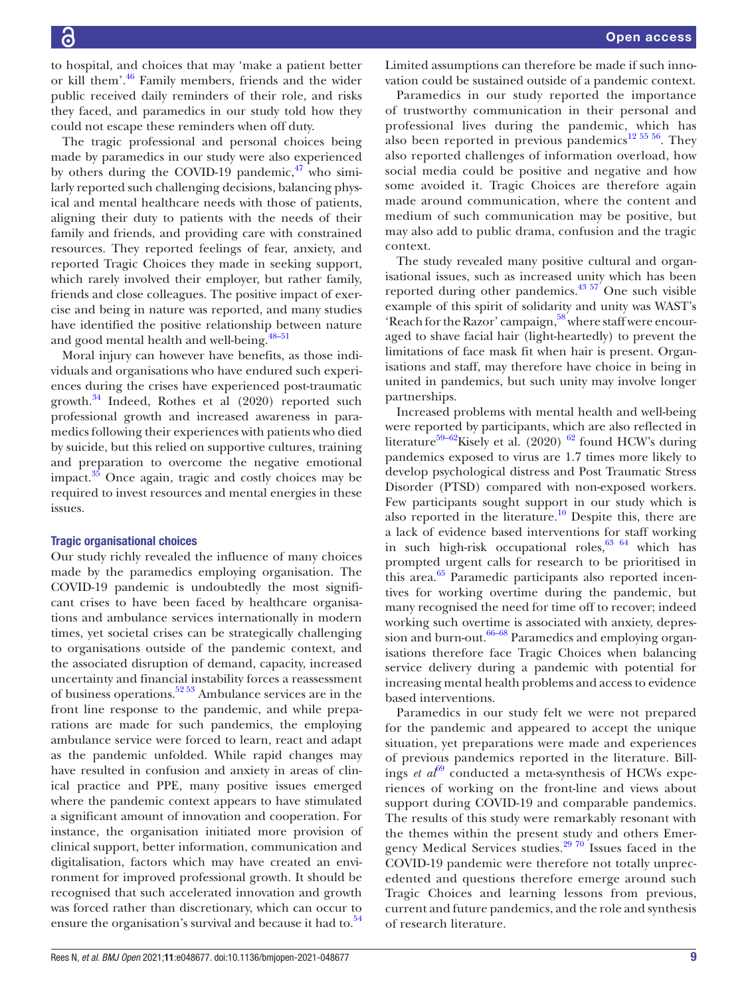to hospital, and choices that may 'make a patient better or kill them'[.46](#page-13-1) Family members, friends and the wider public received daily reminders of their role, and risks they faced, and paramedics in our study told how they could not escape these reminders when off duty.

The tragic professional and personal choices being made by paramedics in our study were also experienced by others during the COVID-19 pandemic, $47$  who similarly reported such challenging decisions, balancing physical and mental healthcare needs with those of patients, aligning their duty to patients with the needs of their family and friends, and providing care with constrained resources. They reported feelings of fear, anxiety, and reported Tragic Choices they made in seeking support, which rarely involved their employer, but rather family, friends and close colleagues. The positive impact of exercise and being in nature was reported, and many studies have identified the positive relationship between nature and good mental health and well-being.<sup>48-51</sup>

Moral injury can however have benefits, as those individuals and organisations who have endured such experiences during the crises have experienced post-traumatic growth. $34$  Indeed, Rothes et al (2020) reported such professional growth and increased awareness in paramedics following their experiences with patients who died by suicide, but this relied on supportive cultures, training and preparation to overcome the negative emotional impact.<sup>35</sup> Once again, tragic and costly choices may be required to invest resources and mental energies in these issues.

# Tragic organisational choices

Our study richly revealed the influence of many choices made by the paramedics employing organisation. The COVID-19 pandemic is undoubtedly the most significant crises to have been faced by healthcare organisations and ambulance services internationally in modern times, yet societal crises can be strategically challenging to organisations outside of the pandemic context, and the associated disruption of demand, capacity, increased uncertainty and financial instability forces a reassessment of business operations.[52 53](#page-13-4) Ambulance services are in the front line response to the pandemic, and while preparations are made for such pandemics, the employing ambulance service were forced to learn, react and adapt as the pandemic unfolded. While rapid changes may have resulted in confusion and anxiety in areas of clinical practice and PPE, many positive issues emerged where the pandemic context appears to have stimulated a significant amount of innovation and cooperation. For instance, the organisation initiated more provision of clinical support, better information, communication and digitalisation, factors which may have created an environment for improved professional growth. It should be recognised that such accelerated innovation and growth was forced rather than discretionary, which can occur to ensure the organisation's survival and because it had to. $54$ 

Limited assumptions can therefore be made if such innovation could be sustained outside of a pandemic context.

Paramedics in our study reported the importance of trustworthy communication in their personal and professional lives during the pandemic, which has also been reported in previous pandemics<sup>[12 55 56](#page-12-30)</sup>. They also reported challenges of information overload, how social media could be positive and negative and how some avoided it. Tragic Choices are therefore again made around communication, where the content and medium of such communication may be positive, but may also add to public drama, confusion and the tragic context.

The study revealed many positive cultural and organisational issues, such as increased unity which has been reported during other pandemics.<sup>43 57</sup> One such visible example of this spirit of solidarity and unity was WAST's 'Reach for the Razor' campaign,<sup>58</sup> where staff were encouraged to shave facial hair (light-heartedly) to prevent the limitations of face mask fit when hair is present. Organisations and staff, may therefore have choice in being in united in pandemics, but such unity may involve longer partnerships.

Increased problems with mental health and well-being were reported by participants, which are also reflected in literature<sup>59–[62](#page-13-8)</sup>Kisely et al. (2020) <sup>62</sup> found HCW's during pandemics exposed to virus are 1.7 times more likely to develop psychological distress and Post Traumatic Stress Disorder (PTSD) compared with non-exposed workers. Few participants sought support in our study which is also reported in the literature.<sup>10</sup> Despite this, there are a lack of evidence based interventions for staff working in such high-risk occupational roles,  $63/64$  which has prompted urgent calls for research to be prioritised in this area. $65$  Paramedic participants also reported incentives for working overtime during the pandemic, but many recognised the need for time off to recover; indeed working such overtime is associated with anxiety, depression and burn-out. $66-68$  Paramedics and employing organisations therefore face Tragic Choices when balancing service delivery during a pandemic with potential for increasing mental health problems and access to evidence based interventions.

Paramedics in our study felt we were not prepared for the pandemic and appeared to accept the unique situation, yet preparations were made and experiences of previous pandemics reported in the literature. Billings *et al*<sup>[69](#page-13-12)</sup> conducted a meta-synthesis of HCWs experiences of working on the front-line and views about support during COVID-19 and comparable pandemics. The results of this study were remarkably resonant with the themes within the present study and others Emer-gency Medical Services studies.<sup>[29 70](#page-12-21)</sup> Issues faced in the COVID-19 pandemic were therefore not totally unprecedented and questions therefore emerge around such Tragic Choices and learning lessons from previous, current and future pandemics, and the role and synthesis of research literature.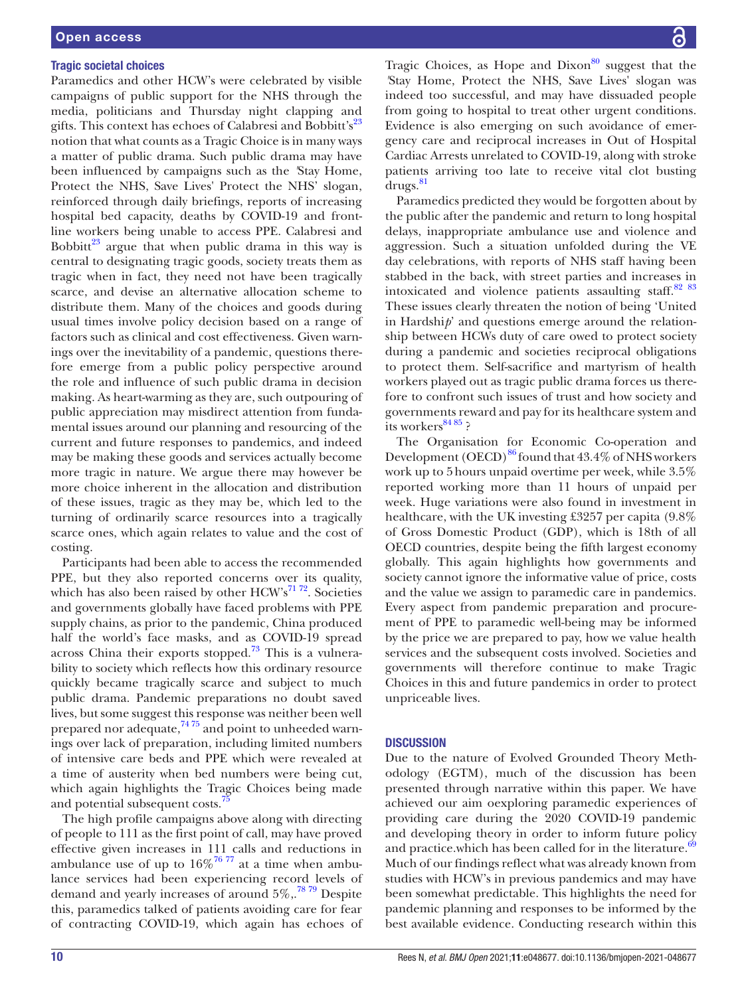# Tragic societal choices

Paramedics and other HCW's were celebrated by visible campaigns of public support for the NHS through the media, politicians and Thursday night clapping and gifts. This context has echoes of Calabresi and Bobbitt's<sup>23</sup> notion that what counts as a Tragic Choice is in many ways a matter of public drama. Such public drama may have been influenced by campaigns such as the *'*Stay Home, Protect the NHS, Save Lives' Protect the NHS' slogan, reinforced through daily briefings, reports of increasing hospital bed capacity, deaths by COVID-19 and frontline workers being unable to access PPE. Calabresi and Bobbitt<sup>23</sup> argue that when public drama in this way is central to designating tragic goods, society treats them as tragic when in fact, they need not have been tragically scarce, and devise an alternative allocation scheme to distribute them. Many of the choices and goods during usual times involve policy decision based on a range of factors such as clinical and cost effectiveness. Given warnings over the inevitability of a pandemic, questions therefore emerge from a public policy perspective around the role and influence of such public drama in decision making. As heart-warming as they are, such outpouring of public appreciation may misdirect attention from fundamental issues around our planning and resourcing of the current and future responses to pandemics, and indeed may be making these goods and services actually become more tragic in nature. We argue there may however be more choice inherent in the allocation and distribution of these issues, tragic as they may be, which led to the turning of ordinarily scarce resources into a tragically scarce ones, which again relates to value and the cost of costing.

Participants had been able to access the recommended PPE, but they also reported concerns over its quality, which has also been raised by other  $HCW's^{71.72}$ . Societies and governments globally have faced problems with PPE supply chains, as prior to the pandemic, China produced half the world's face masks, and as COVID-19 spread across China their exports stopped[.73](#page-13-14) This is a vulnerability to society which reflects how this ordinary resource quickly became tragically scarce and subject to much public drama. Pandemic preparations no doubt saved lives, but some suggest this response was neither been well prepared nor adequate, $7475$  and point to unheeded warnings over lack of preparation, including limited numbers of intensive care beds and PPE which were revealed at a time of austerity when bed numbers were being cut, which again highlights the Tragic Choices being made and potential subsequent costs.<sup>[75](#page-13-16)</sup>

The high profile campaigns above along with directing of people to 111 as the first point of call, may have proved effective given increases in 111 calls and reductions in ambulance use of up to  $16\%$ <sup>76 77</sup> at a time when ambulance services had been experiencing record levels of demand and yearly increases of around  $5\%,$ <sup>7879</sup> Despite this, paramedics talked of patients avoiding care for fear of contracting COVID-19, which again has echoes of Tragic Choices, as Hope and Dixon $80$  suggest that the *'*Stay Home, Protect the NHS, Save Lives' slogan was indeed too successful, and may have dissuaded people from going to hospital to treat other urgent conditions. Evidence is also emerging on such avoidance of emergency care and reciprocal increases in Out of Hospital Cardiac Arrests unrelated to COVID-19, along with stroke patients arriving too late to receive vital clot busting drugs.<sup>[81](#page-13-20)</sup>

Paramedics predicted they would be forgotten about by the public after the pandemic and return to long hospital delays, inappropriate ambulance use and violence and aggression. Such a situation unfolded during the VE day celebrations, with reports of NHS staff having been stabbed in the back, with street parties and increases in intoxicated and violence patients assaulting staff. $8283$ These issues clearly threaten the notion of being 'United in Hardshi*p*' and questions emerge around the relationship between HCWs duty of care owed to protect society during a pandemic and societies reciprocal obligations to protect them. Self-sacrifice and martyrism of health workers played out as tragic public drama forces us therefore to confront such issues of trust and how society and governments reward and pay for its healthcare system and its workers $8485$ ?

The Organisation for Economic Co-operation and Development  $(OECD)^{86}$  found that 43.4% of NHS workers work up to 5hours unpaid overtime per week, while 3.5% reported working more than 11 hours of unpaid per week. Huge variations were also found in investment in healthcare, with the UK investing £3257 per capita (9.8% of Gross Domestic Product (GDP), which is 18th of all OECD countries, despite being the fifth largest economy globally. This again highlights how governments and society cannot ignore the informative value of price, costs and the value we assign to paramedic care in pandemics. Every aspect from pandemic preparation and procurement of PPE to paramedic well-being may be informed by the price we are prepared to pay, how we value health services and the subsequent costs involved. Societies and governments will therefore continue to make Tragic Choices in this and future pandemics in order to protect unpriceable lives.

# **DISCUSSION**

Due to the nature of Evolved Grounded Theory Methodology (EGTM), much of the discussion has been presented through narrative within this paper. We have achieved our aim oexploring paramedic experiences of providing care during the 2020 COVID-19 pandemic and developing theory in order to inform future policy and practice.which has been called for in the literature.<sup>[69](#page-13-12)</sup> Much of our findings reflect what was already known from studies with HCW's in previous pandemics and may have been somewhat predictable. This highlights the need for pandemic planning and responses to be informed by the best available evidence. Conducting research within this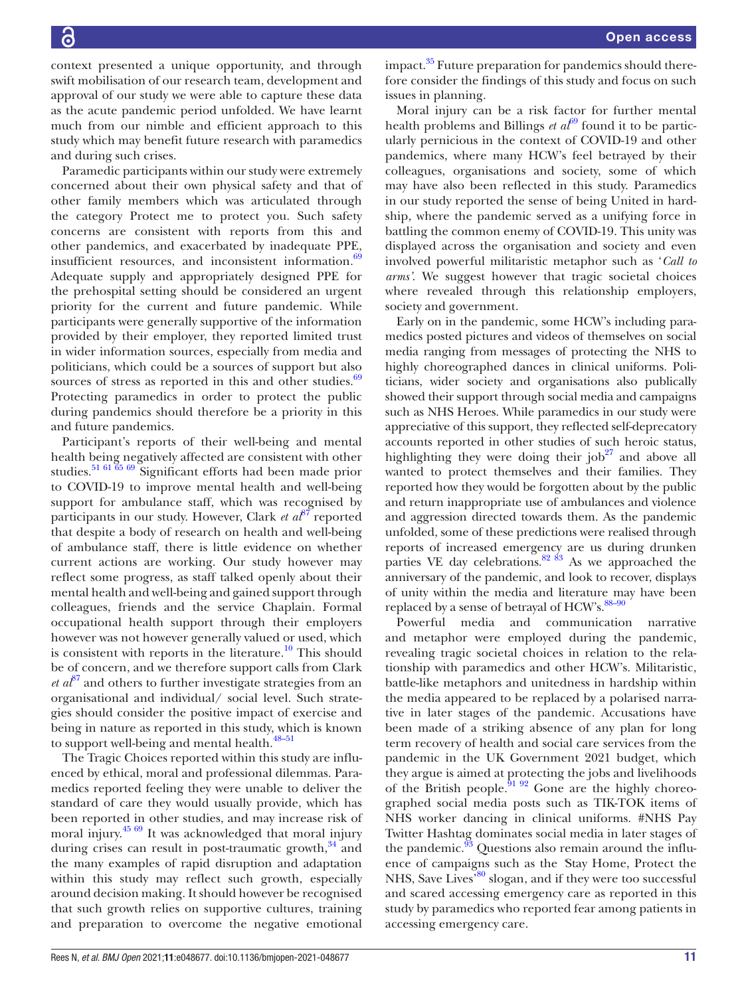Paramedic participants within our study were extremely concerned about their own physical safety and that of other family members which was articulated through the category Protect me to protect you. Such safety concerns are consistent with reports from this and other pandemics, and exacerbated by inadequate PPE, insufficient resources, and inconsistent information.<sup>69</sup> Adequate supply and appropriately designed PPE for the prehospital setting should be considered an urgent priority for the current and future pandemic. While participants were generally supportive of the information provided by their employer, they reported limited trust in wider information sources, especially from media and politicians, which could be a sources of support but also sources of stress as reported in this and other studies. $69$ Protecting paramedics in order to protect the public during pandemics should therefore be a priority in this and future pandemics.

Participant's reports of their well-being and mental health being negatively affected are consistent with other studies.<sup>51 61 65 69</sup> Significant efforts had been made prior to COVID-19 to improve mental health and well-being support for ambulance staff, which was recognised by participants in our study. However, Clark *et al*<sup>87</sup> reported that despite a body of research on health and well-being of ambulance staff, there is little evidence on whether current actions are working. Our study however may reflect some progress, as staff talked openly about their mental health and well-being and gained support through colleagues, friends and the service Chaplain. Formal occupational health support through their employers however was not however generally valued or used, which is consistent with reports in the literature.<sup>10</sup> This should be of concern, and we therefore support calls from Clark  $et\ a^{\beta^7}$  and others to further investigate strategies from an organisational and individual/ social level. Such strategies should consider the positive impact of exercise and being in nature as reported in this study, which is known to support well-being and mental health.<sup>48-51</sup>

The Tragic Choices reported within this study are influenced by ethical, moral and professional dilemmas. Paramedics reported feeling they were unable to deliver the standard of care they would usually provide, which has been reported in other studies, and may increase risk of moral injury. $45\frac{69}{1}$  It was acknowledged that moral injury during crises can result in post-traumatic growth, $34$  and the many examples of rapid disruption and adaptation within this study may reflect such growth, especially around decision making. It should however be recognised that such growth relies on supportive cultures, training and preparation to overcome the negative emotional

impact. $35$  Future preparation for pandemics should therefore consider the findings of this study and focus on such issues in planning.

Moral injury can be a risk factor for further mental health problems and Billings *et al*<sup> $69$ </sup> found it to be particularly pernicious in the context of COVID-19 and other pandemics, where many HCW's feel betrayed by their colleagues, organisations and society, some of which may have also been reflected in this study. Paramedics in our study reported the sense of being United in hardship*,* where the pandemic served as a unifying force in battling the common enemy of COVID-19. This unity was displayed across the organisation and society and even involved powerful militaristic metaphor such as '*Call to arms'*. We suggest however that tragic societal choices where revealed through this relationship employers, society and government.

Early on in the pandemic, some HCW's including paramedics posted pictures and videos of themselves on social media ranging from messages of protecting the NHS to highly choreographed dances in clinical uniforms. Politicians, wider society and organisations also publically showed their support through social media and campaigns such as NHS Heroes. While paramedics in our study were appreciative of this support, they reflected self-deprecatory accounts reported in other studies of such heroic status, highlighting they were doing their job<sup>[27](#page-12-19)</sup> and above all wanted to protect themselves and their families. They reported how they would be forgotten about by the public and return inappropriate use of ambulances and violence and aggression directed towards them. As the pandemic unfolded, some of these predictions were realised through reports of increased emergency are us during drunken parties VE day celebrations. $82 \times 83$  As we approached the anniversary of the pandemic, and look to recover, displays of unity within the media and literature may have been replaced by a sense of betrayal of HCW's.<sup>88-90</sup>

Powerful media and communication narrative and metaphor were employed during the pandemic, revealing tragic societal choices in relation to the relationship with paramedics and other HCW's. Militaristic, battle-like metaphors and unitedness in hardship within the media appeared to be replaced by a polarised narrative in later stages of the pandemic. Accusations have been made of a striking absence of any plan for long term recovery of health and social care services from the pandemic in the UK Government 2021 budget, which they argue is aimed at protecting the jobs and livelihoods of the British people. $9192$  Gone are the highly choreographed social media posts such as TIK-TOK items of NHS worker dancing in clinical uniforms. #NHS Pay Twitter Hashtag dominates social media in later stages of the pandemic. $93$  Questions also remain around the influence of campaigns such as the *'*Stay Home, Protect the NHS, Save Lives<sup>'80</sup> slogan, and if they were too successful and scared accessing emergency care as reported in this study by paramedics who reported fear among patients in accessing emergency care.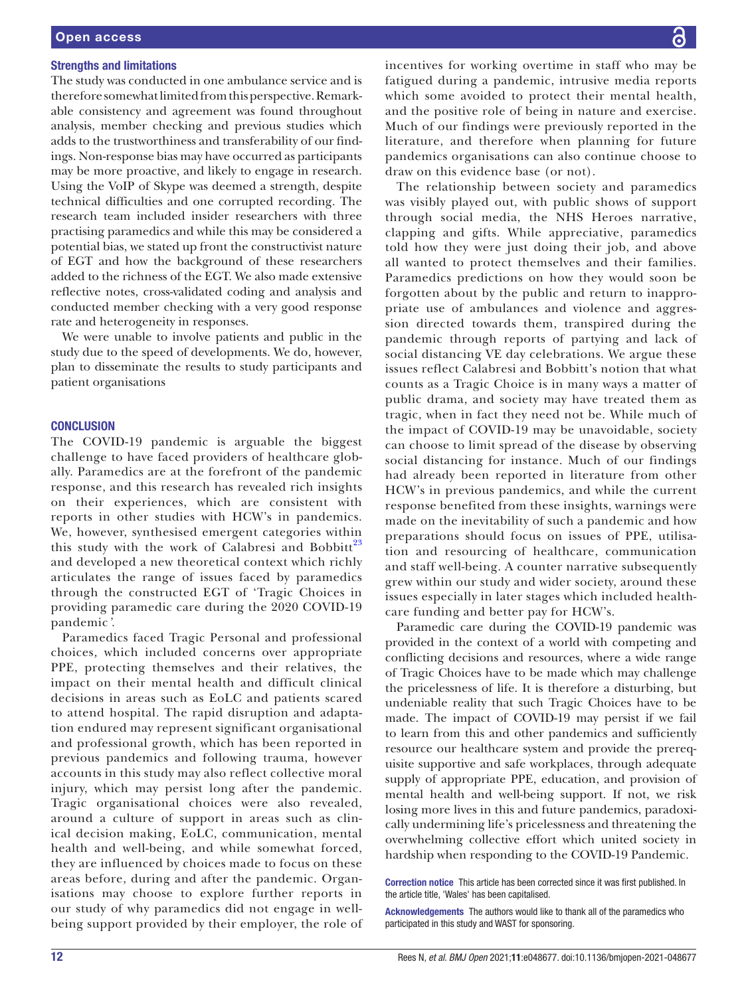# Strengths and limitations

The study was conducted in one ambulance service and is therefore somewhat limited from this perspective. Remarkable consistency and agreement was found throughout analysis, member checking and previous studies which adds to the trustworthiness and transferability of our findings. Non-response bias may have occurred as participants may be more proactive, and likely to engage in research. Using the VoIP of Skype was deemed a strength, despite technical difficulties and one corrupted recording. The research team included insider researchers with three practising paramedics and while this may be considered a potential bias, we stated up front the constructivist nature of EGT and how the background of these researchers added to the richness of the EGT. We also made extensive reflective notes, cross-validated coding and analysis and conducted member checking with a very good response rate and heterogeneity in responses.

We were unable to involve patients and public in the study due to the speed of developments. We do, however, plan to disseminate the results to study participants and patient organisations

#### **CONCLUSION**

The COVID-19 pandemic is arguable the biggest challenge to have faced providers of healthcare globally. Paramedics are at the forefront of the pandemic response, and this research has revealed rich insights on their experiences, which are consistent with reports in other studies with HCW's in pandemics. We, however, synthesised emergent categories within this study with the work of Calabresi and Bobbitt<sup>[23](#page-12-17)</sup> and developed a new theoretical context which richly articulates the range of issues faced by paramedics through the constructed EGT of 'Tragic Choices in providing paramedic care during the 2020 COVID-19 pandemic*'*.

Paramedics faced Tragic Personal and professional choices*,* which included concerns over appropriate PPE, protecting themselves and their relatives, the impact on their mental health and difficult clinical decisions in areas such as EoLC and patients scared to attend hospital. The rapid disruption and adaptation endured may represent significant organisational and professional growth, which has been reported in previous pandemics and following trauma, however accounts in this study may also reflect collective moral injury, which may persist long after the pandemic. Tragic organisational choices were also revealed, around a culture of support in areas such as clinical decision making, EoLC, communication, mental health and well-being, and while somewhat forced, they are influenced by choices made to focus on these areas before, during and after the pandemic. Organisations may choose to explore further reports in our study of why paramedics did not engage in wellbeing support provided by their employer, the role of incentives for working overtime in staff who may be fatigued during a pandemic, intrusive media reports which some avoided to protect their mental health, and the positive role of being in nature and exercise. Much of our findings were previously reported in the literature, and therefore when planning for future pandemics organisations can also continue choose to draw on this evidence base (or not).

The relationship between society and paramedics was visibly played out, with public shows of support through social media, the NHS Heroes narrative, clapping and gifts. While appreciative, paramedics told how they were just doing their job, and above all wanted to protect themselves and their families. Paramedics predictions on how they would soon be forgotten about by the public and return to inappropriate use of ambulances and violence and aggression directed towards them, transpired during the pandemic through reports of partying and lack of social distancing VE day celebrations. We argue these issues reflect Calabresi and Bobbitt's notion that what counts as a Tragic Choice is in many ways a matter of public drama, and society may have treated them as tragic, when in fact they need not be. While much of the impact of COVID-19 may be unavoidable, society can choose to limit spread of the disease by observing social distancing for instance. Much of our findings had already been reported in literature from other HCW's in previous pandemics, and while the current response benefited from these insights, warnings were made on the inevitability of such a pandemic and how preparations should focus on issues of PPE, utilisation and resourcing of healthcare, communication and staff well-being. A counter narrative subsequently grew within our study and wider society, around these issues especially in later stages which included healthcare funding and better pay for HCW's.

Paramedic care during the COVID-19 pandemic was provided in the context of a world with competing and conflicting decisions and resources, where a wide range of Tragic Choices have to be made which may challenge the pricelessness of life. It is therefore a disturbing, but undeniable reality that such Tragic Choices have to be made. The impact of COVID-19 may persist if we fail to learn from this and other pandemics and sufficiently resource our healthcare system and provide the prerequisite supportive and safe workplaces, through adequate supply of appropriate PPE, education, and provision of mental health and well-being support. If not, we risk losing more lives in this and future pandemics, paradoxically undermining life's pricelessness and threatening the overwhelming collective effort which united society in hardship when responding to the COVID-19 Pandemic.

Correction notice This article has been corrected since it was first published. In the article title, 'Wales' has been capitalised.

Acknowledgements The authors would like to thank all of the paramedics who participated in this study and WAST for sponsoring.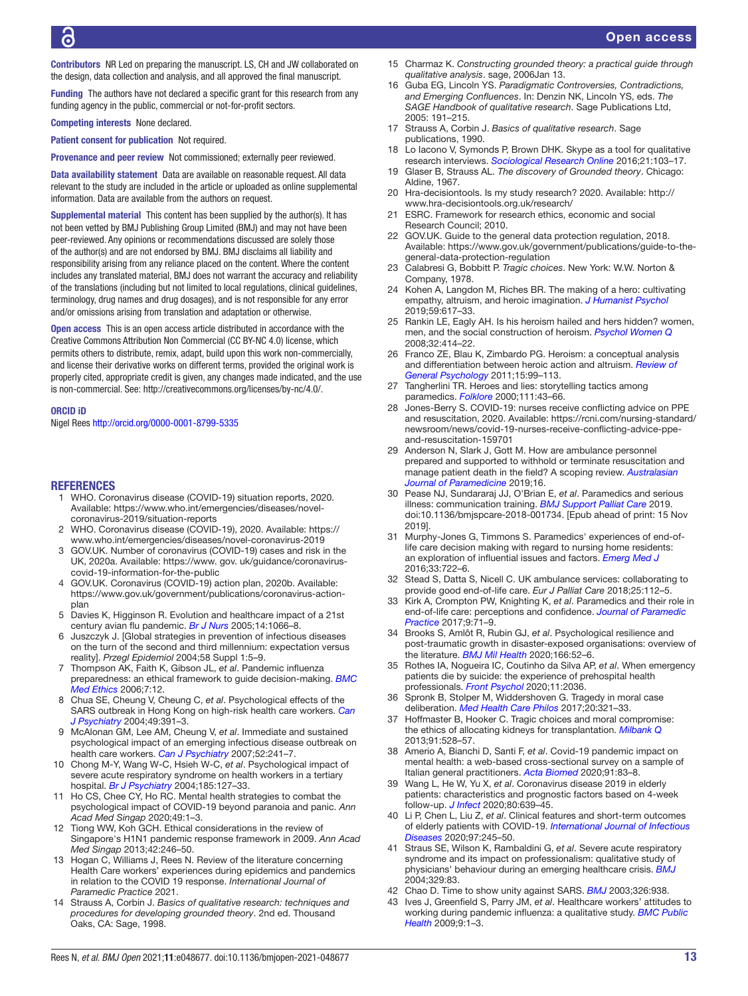Contributors NR Led on preparing the manuscript. LS, CH and JW collaborated on the design, data collection and analysis, and all approved the final manuscript.

Funding The authors have not declared a specific grant for this research from any funding agency in the public, commercial or not-for-profit sectors.

Competing interests None declared.

Patient consent for publication Not required.

Provenance and peer review Not commissioned; externally peer reviewed.

Data availability statement Data are available on reasonable request. All data relevant to the study are included in the article or uploaded as online supplemental information. Data are available from the authors on request.

Supplemental material This content has been supplied by the author(s). It has not been vetted by BMJ Publishing Group Limited (BMJ) and may not have been peer-reviewed. Any opinions or recommendations discussed are solely those of the author(s) and are not endorsed by BMJ. BMJ disclaims all liability and responsibility arising from any reliance placed on the content. Where the content includes any translated material, BMJ does not warrant the accuracy and reliability of the translations (including but not limited to local regulations, clinical guidelines, terminology, drug names and drug dosages), and is not responsible for any error and/or omissions arising from translation and adaptation or otherwise.

Open access This is an open access article distributed in accordance with the Creative Commons Attribution Non Commercial (CC BY-NC 4.0) license, which permits others to distribute, remix, adapt, build upon this work non-commercially, and license their derivative works on different terms, provided the original work is properly cited, appropriate credit is given, any changes made indicated, and the use is non-commercial. See: [http://creativecommons.org/licenses/by-nc/4.0/.](http://creativecommons.org/licenses/by-nc/4.0/)

ORCID iD

Nigel Rees <http://orcid.org/0000-0001-8799-5335>

#### **REFERENCES**

- <span id="page-12-0"></span>1 WHO. Coronavirus disease (COVID-19) situation reports, 2020. Available: [https://www.who.int/emergencies/diseases/novel](https://www.who.int/emergencies/diseases/novel-coronavirus-2019/situation-reports)[coronavirus-2019/situation-reports](https://www.who.int/emergencies/diseases/novel-coronavirus-2019/situation-reports)
- <span id="page-12-1"></span>2 WHO. Coronavirus disease (COVID-19), 2020. Available: [https://](https://www.who.int/emergencies/diseases/novel-coronavirus-2019) [www.who.int/emergencies/diseases/novel-coronavirus-2019](https://www.who.int/emergencies/diseases/novel-coronavirus-2019)
- <span id="page-12-2"></span>3 GOV.UK. Number of coronavirus (COVID-19) cases and risk in the UK, 2020a. Available: [https://www. gov. uk/guidance/coronavirus](https://www.%20gov.%20uk/guidance/coronavirus-covid-19-information-for-the-public)[covid-19-information-for-the-public](https://www.%20gov.%20uk/guidance/coronavirus-covid-19-information-for-the-public)
- <span id="page-12-3"></span>4 GOV.UK. Coronavirus (COVID-19) action plan, 2020b. Available: [https://www.gov.uk/government/publications/coronavirus-action](https://www.gov.uk/government/publications/coronavirus-action-plan)[plan](https://www.gov.uk/government/publications/coronavirus-action-plan)
- <span id="page-12-4"></span>5 Davies K, Higginson R. Evolution and healthcare impact of a 21st century avian flu pandemic. *[Br J Nurs](http://dx.doi.org/10.12968/bjon.2005.14.20.20048)* 2005;14:1066–8.
- 6 Juszczyk J. [Global strategies in prevention of infectious diseases on the turn of the second and third millennium: expectation versus reality]. *Przegl Epidemiol* 2004;58 Suppl 1:5–9.
- <span id="page-12-5"></span>7 Thompson AK, Faith K, Gibson JL, *et al*. Pandemic influenza preparedness: an ethical framework to guide decision-making. *[BMC](http://dx.doi.org/10.1186/1472-6939-7-12)  [Med Ethics](http://dx.doi.org/10.1186/1472-6939-7-12)* 2006;7:12.
- <span id="page-12-6"></span>8 Chua SE, Cheung V, Cheung C, *et al*. Psychological effects of the SARS outbreak in Hong Kong on high-risk health care workers. *[Can](http://dx.doi.org/10.1177/070674370404900609)  [J Psychiatry](http://dx.doi.org/10.1177/070674370404900609)* 2004;49:391–3.
- 9 McAlonan GM, Lee AM, Cheung V, *et al*. Immediate and sustained psychological impact of an emerging infectious disease outbreak on health care workers. *[Can J Psychiatry](http://dx.doi.org/10.1177/070674370705200406)* 2007;52:241–7.
- <span id="page-12-32"></span>10 Chong M-Y, Wang W-C, Hsieh W-C, *et al*. Psychological impact of severe acute respiratory syndrome on health workers in a tertiary hospital. *[Br J Psychiatry](http://dx.doi.org/10.1192/bjp.185.2.127)* 2004;185:127–33.
- 11 Ho CS, Chee CY, Ho RC. Mental health strategies to combat the psychological impact of COVID-19 beyond paranoia and panic. *Ann Acad Med Singap* 2020;49:1–3.
- <span id="page-12-30"></span>12 Tiong WW, Koh GCH. Ethical considerations in the review of Singapore's H1N1 pandemic response framework in 2009. *Ann Acad Med Singap* 2013;42:246–50.
- <span id="page-12-7"></span>13 Hogan C, Williams J, Rees N. Review of the literature concerning Health Care workers' experiences during epidemics and pandemics in relation to the COVID 19 response. *International Journal of Paramedic Practice* 2021.
- <span id="page-12-8"></span>14 Strauss A, Corbin J. *Basics of qualitative research: techniques and procedures for developing grounded theory*. 2nd ed. Thousand Oaks, CA: Sage, 1998.
- <span id="page-12-9"></span>15 Charmaz K. *Constructing grounded theory: a practical guide through qualitative analysis*. sage, 2006Jan 13.
- <span id="page-12-10"></span>16 Guba EG, Lincoln YS. *Paradigmatic Controversies, Contradictions, and Emerging Confluences*. In: Denzin NK, Lincoln YS, eds. *The SAGE Handbook of qualitative research*. Sage Publications Ltd, 2005: 191–215.
- <span id="page-12-11"></span>17 Strauss A, Corbin J. *Basics of qualitative research*. Sage publications, 1990.
- <span id="page-12-12"></span>18 Lo Iacono V, Symonds P, Brown DHK. Skype as a tool for qualitative research interviews. *[Sociological Research Online](http://dx.doi.org/10.5153/sro.3952)* 2016;21:103–17.
- <span id="page-12-13"></span>19 Glaser B, Strauss AL. *The discovery of Grounded theory*. Chicago: Aldine, 1967.
- <span id="page-12-14"></span>20 Hra-decisiontools. Is my study research? 2020. Available: [http://](http://www.hra-decisiontools.org.uk/research/) [www.hra-decisiontools.org.uk/research/](http://www.hra-decisiontools.org.uk/research/)
- <span id="page-12-15"></span>21 ESRC. Framework for research ethics, economic and social Research Council; 2010.
- <span id="page-12-16"></span>22 GOV.UK. Guide to the general data protection regulation, 2018. Available: [https://www.gov.uk/government/publications/guide-to-the](https://www.gov.uk/government/publications/guide-to-the-general-data-protection-regulation)[general-data-protection-regulation](https://www.gov.uk/government/publications/guide-to-the-general-data-protection-regulation)
- <span id="page-12-17"></span>23 Calabresi G, Bobbitt P. *Tragic choices*. New York: W.W. Norton & Company, 1978.
- <span id="page-12-18"></span>24 Kohen A, Langdon M, Riches BR. The making of a hero: cultivating empathy, altruism, and heroic imagination. *[J Humanist Psychol](http://dx.doi.org/10.1177/0022167817708064)* 2019;59:617–33.
- 25 Rankin LE, Eagly AH. Is his heroism hailed and hers hidden? women, men, and the social construction of heroism. *[Psychol Women Q](http://dx.doi.org/10.1111/j.1471-6402.2008.00455.x)* 2008;32:414–22.
- 26 Franco ZE, Blau K, Zimbardo PG. Heroism: a conceptual analysis and differentiation between heroic action and altruism. *[Review of](http://dx.doi.org/10.1037/a0022672)  [General Psychology](http://dx.doi.org/10.1037/a0022672)* 2011;15:99–113.
- <span id="page-12-19"></span>27 Tangherlini TR. Heroes and lies: storytelling tactics among paramedics. *[Folklore](http://dx.doi.org/10.1080/001558700360889)* 2000;111:43–66.
- <span id="page-12-20"></span>28 Jones-Berry S. COVID-19: nurses receive conflicting advice on PPE and resuscitation, 2020. Available: [https://rcni.com/nursing-standard/](https://rcni.com/nursing-standard/newsroom/news/covid-19-nurses-receive-conflicting-advice-ppe-and-resuscitation-159701) [newsroom/news/covid-19-nurses-receive-conflicting-advice-ppe](https://rcni.com/nursing-standard/newsroom/news/covid-19-nurses-receive-conflicting-advice-ppe-and-resuscitation-159701)[and-resuscitation-159701](https://rcni.com/nursing-standard/newsroom/news/covid-19-nurses-receive-conflicting-advice-ppe-and-resuscitation-159701)
- <span id="page-12-21"></span>29 Anderson N, Slark J, Gott M. How are ambulance personnel prepared and supported to withhold or terminate resuscitation and manage patient death in the field? A scoping review. *[Australasian](http://dx.doi.org/10.33151/ajp.16.697)  [Journal of Paramedicine](http://dx.doi.org/10.33151/ajp.16.697)* 2019;16.
- <span id="page-12-22"></span>30 Pease NJ, Sundararaj JJ, O'Brian E, *et al*. Paramedics and serious illness: communication training. *[BMJ Support Palliat Care](http://dx.doi.org/10.1136/bmjspcare-2018-001734)* 2019. doi:10.1136/bmjspcare-2018-001734. [Epub ahead of print: 15 Nov 2019].
- 31 Murphy-Jones G, Timmons S. Paramedics' experiences of end-oflife care decision making with regard to nursing home residents: an exploration of influential issues and factors. *[Emerg Med J](http://dx.doi.org/10.1136/emermed-2015-205405)* 2016;33:722–6.
- 32 Stead S, Datta S, Nicell C. UK ambulance services: collaborating to provide good end-of-life care. *Eur J Palliat Care* 2018;25:112–5.
- 33 Kirk A, Crompton PW, Knighting K, *et al*. Paramedics and their role in end-of-life care: perceptions and confidence. *[Journal of Paramedic](http://dx.doi.org/10.12968/jpar.2017.9.2.71)  [Practice](http://dx.doi.org/10.12968/jpar.2017.9.2.71)* 2017;9:71–9.
- <span id="page-12-23"></span>34 Brooks S, Amlôt R, Rubin GJ, *et al*. Psychological resilience and post-traumatic growth in disaster-exposed organisations: overview of the literature. *[BMJ Mil Health](http://dx.doi.org/10.1136/jramc-2017-000876)* 2020;166:52–6.
- <span id="page-12-29"></span>35 Rothes IA, Nogueira IC, Coutinho da Silva AP, *et al*. When emergency patients die by suicide: the experience of prehospital health professionals. *[Front Psychol](http://dx.doi.org/10.3389/fpsyg.2020.02036)* 2020;11:2036.
- <span id="page-12-24"></span>36 Spronk B, Stolper M, Widdershoven G. Tragedy in moral case deliberation. *[Med Health Care Philos](http://dx.doi.org/10.1007/s11019-016-9749-7)* 2017;20:321–33.
- <span id="page-12-25"></span>37 Hoffmaster B, Hooker C. Tragic choices and moral compromise: the ethics of allocating kidneys for transplantation. *[Milbank Q](http://dx.doi.org/10.1111/1468-0009.12025)* 2013;91:528–57.
- <span id="page-12-26"></span>38 Amerio A, Bianchi D, Santi F, *et al*. Covid-19 pandemic impact on mental health: a web-based cross-sectional survey on a sample of Italian general practitioners. *[Acta Biomed](http://dx.doi.org/10.23750/abm.v91i2.9619)* 2020;91:83–8.
- <span id="page-12-27"></span>39 Wang L, He W, Yu X, *et al*. Coronavirus disease 2019 in elderly patients: characteristics and prognostic factors based on 4-week follow-up. *[J Infect](http://dx.doi.org/10.1016/j.jinf.2020.03.019)* 2020;80:639–45.
- 40 Li P, Chen L, Liu Z, *et al*. Clinical features and short-term outcomes of elderly patients with COVID-19. *[International Journal of Infectious](http://dx.doi.org/10.1016/j.ijid.2020.05.107)  [Diseases](http://dx.doi.org/10.1016/j.ijid.2020.05.107)* 2020;97:245–50.
- <span id="page-12-28"></span>41 Straus SE, Wilson K, Rambaldini G, *et al*. Severe acute respiratory syndrome and its impact on professionalism: qualitative study of physicians' behaviour during an emerging healthcare crisis. *[BMJ](http://dx.doi.org/10.1136/bmj.38127.444838.63)* 2004;329:83.
- 42 Chao D. Time to show unity against SARS. *[BMJ](http://dx.doi.org/10.1136/bmj.326.7395.938)* 2003;326:938.
- <span id="page-12-31"></span>43 Ives J, Greenfield S, Parry JM, *et al*. Healthcare workers' attitudes to working during pandemic influenza: a qualitative study. *[BMC Public](http://dx.doi.org/10.1186/1471-2458-9-56)  [Health](http://dx.doi.org/10.1186/1471-2458-9-56)* 2009;9:1–3.